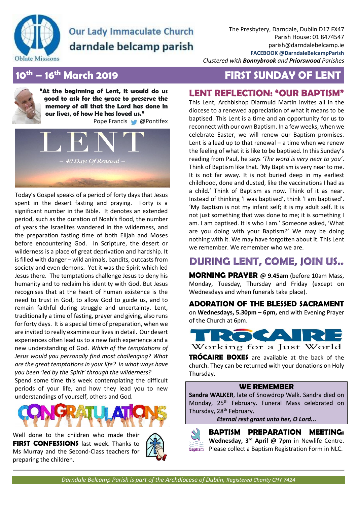

# **Our Lady Immaculate Church** darndale belcamp parish

The Presbytery, Darndale, Dublin D17 FX47 Parish House: 01 8474547 parish@darndalebelcamp.ie **FACEBOOK @DarndaleBelcampParish**

*Clustered with Bonnybrook and Priorswood Parishes*

## **10th – 16th March 2019 FIRST SUNDAY OF LENT**

**"At the beginning of Lent, it would do us good to ask for the grace to preserve the memory of all that the Lord has done in our lives, of how He has loved us."** Pope Francis @Pontifex



Today's Gospel speaks of a period of forty days that Jesus spent in the desert fasting and praying. Forty is a significant number in the Bible. It denotes an extended period, such as the duration of Noah's flood, the number of years the Israelites wandered in the wilderness, and the preparation fasting time of both Elijah and Moses before encountering God. In Scripture, the desert or wilderness is a place of great deprivation and hardship. It is filled with danger – wild animals, bandits, outcasts from society and even demons. Yet it was the Spirit which led Jesus there. The temptations challenge Jesus to deny his humanity and to reclaim his identity with God. But Jesus recognises that at the heart of human existence is the need to trust in God, to allow God to guide us, and to remain faithful during struggle and uncertainty. Lent, traditionally a time of fasting, prayer and giving, also runs for forty days. It is a special time of preparation, when we are invited to really examine our lives in detail. Our desert experiences often lead us to a new faith experience and a new understanding of God. *Which of the temptations of Jesus would you personally find most challenging? What are the great temptations in your life? In what ways have you been 'led by the Spirit' through the wilderness?* Spend some time this week contemplating the difficult periods of your life, and how they lead you to new understandings of yourself, others and God.



Well done to the children who made their **FIRST CONFESSIONS** last week. Thanks to Ms Murray and the Second-Class teachers for preparing the children.



## **LENT REFLECTION: "OUR BAPTISM"**

This Lent, Archbishop Diarmuid Martin invites all in the diocese to a renewed appreciation of what it means to be baptised. This Lent is a time and an opportunity for us to reconnect with our own Baptism. In a few weeks, when we celebrate Easter, we will renew our Baptism promises. Lent is a lead up to that renewal  $-$  a time when we renew the feeling of what it is like to be baptised. In this Sunday's reading from Paul, he says *'The word is very near to you'*. Think of Baptism like that. 'My Baptism is very near to me. It is not far away. It is not buried deep in my earliest childhood, done and dusted, like the vaccinations I had as a child.' Think of Baptism as now. Think of it as near. Instead of thinking 'I was baptised', think 'I am baptised'. 'My Baptism is not my infant self; it is my adult self. It is not just something that was done to me; it is something I am. I am baptised. It is who I am.' Someone asked, 'What are you doing with your Baptism?' We may be doing nothing with it. We may have forgotten about it. This Lent we remember. We remember who we are.

# **DURING LENT, COME, JOIN US..**

**MORNING PRAYER @ 9.45am** (before 10am Mass, Monday, Tuesday, Thursday and Friday (except on Wednesdays and when funerals take place).

**ADORATION OF THE BLESSED SACRAMENT** on **Wednesdays, 5.30pm – 6pm,** end with Evening Prayer of the Church at 6pm.



**TRÓCAIRE BOXES** are available at the back of the church. They can be returned with your donations on Holy Thursday.

#### **WE REMEMBER**

**Sandra WALKER**, late of Snowdrop Walk. Sandra died on Monday, 25<sup>th</sup> February. Funeral Mass celebrated on Thursday, 28<sup>th</sup> February.

*Eternal rest grant unto her, O Lord...*



**BAPTISM PREPARATION MEETING: Wednesday, 3rd April @ 7pm** in Newlife Centre. Please collect a Baptism Registration Form in NLC.